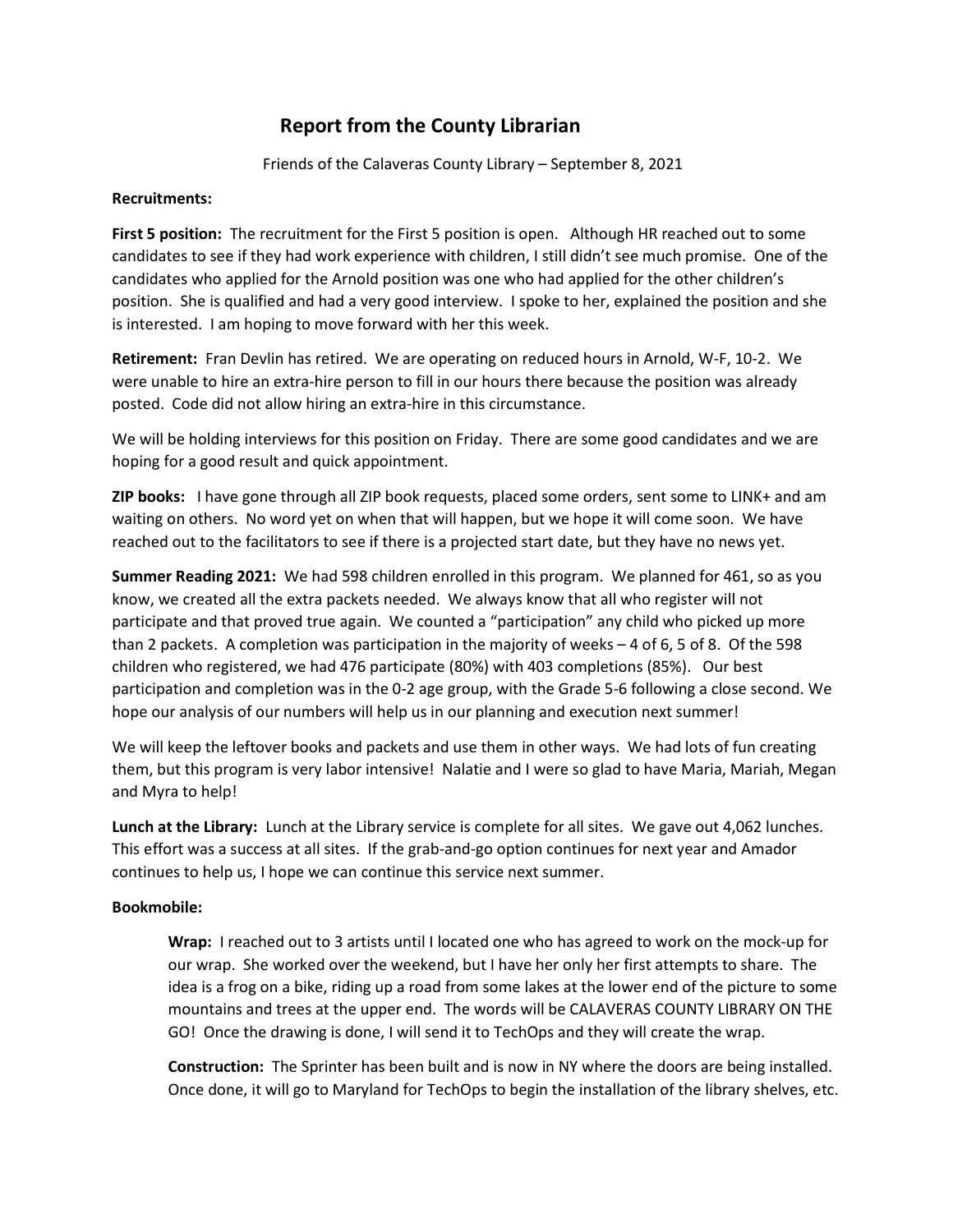## Report from the County Librarian

Friends of the Calaveras County Library – September 8, 2021

## Recruitments:

First 5 position: The recruitment for the First 5 position is open. Although HR reached out to some candidates to see if they had work experience with children, I still didn't see much promise. One of the candidates who applied for the Arnold position was one who had applied for the other children's position. She is qualified and had a very good interview. I spoke to her, explained the position and she is interested. I am hoping to move forward with her this week.

Retirement: Fran Devlin has retired. We are operating on reduced hours in Arnold, W-F, 10-2. We were unable to hire an extra-hire person to fill in our hours there because the position was already posted. Code did not allow hiring an extra-hire in this circumstance.

We will be holding interviews for this position on Friday. There are some good candidates and we are hoping for a good result and quick appointment.

ZIP books: I have gone through all ZIP book requests, placed some orders, sent some to LINK+ and am waiting on others. No word yet on when that will happen, but we hope it will come soon. We have reached out to the facilitators to see if there is a projected start date, but they have no news yet.

Summer Reading 2021: We had 598 children enrolled in this program. We planned for 461, so as you know, we created all the extra packets needed. We always know that all who register will not participate and that proved true again. We counted a "participation" any child who picked up more than 2 packets. A completion was participation in the majority of weeks – 4 of 6, 5 of 8. Of the 598 children who registered, we had 476 participate (80%) with 403 completions (85%). Our best participation and completion was in the 0-2 age group, with the Grade 5-6 following a close second. We hope our analysis of our numbers will help us in our planning and execution next summer!

We will keep the leftover books and packets and use them in other ways. We had lots of fun creating them, but this program is very labor intensive! Nalatie and I were so glad to have Maria, Mariah, Megan and Myra to help!

Lunch at the Library: Lunch at the Library service is complete for all sites. We gave out 4,062 lunches. This effort was a success at all sites. If the grab-and-go option continues for next year and Amador continues to help us, I hope we can continue this service next summer.

## Bookmobile:

Wrap: I reached out to 3 artists until I located one who has agreed to work on the mock-up for our wrap. She worked over the weekend, but I have her only her first attempts to share. The idea is a frog on a bike, riding up a road from some lakes at the lower end of the picture to some mountains and trees at the upper end. The words will be CALAVERAS COUNTY LIBRARY ON THE GO! Once the drawing is done, I will send it to TechOps and they will create the wrap.

Construction: The Sprinter has been built and is now in NY where the doors are being installed. Once done, it will go to Maryland for TechOps to begin the installation of the library shelves, etc.